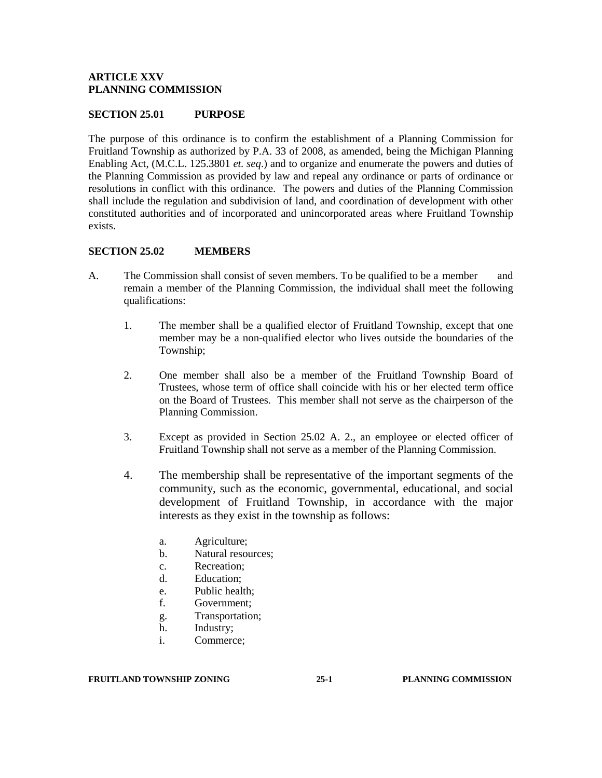#### **ARTICLE XXV PLANNING COMMISSION**

#### **SECTION 25.01 PURPOSE**

The purpose of this ordinance is to confirm the establishment of a Planning Commission for Fruitland Township as authorized by P.A. 33 of 2008, as amended, being the Michigan Planning Enabling Act, (M.C.L. 125.3801 *et. seq*.) and to organize and enumerate the powers and duties of the Planning Commission as provided by law and repeal any ordinance or parts of ordinance or resolutions in conflict with this ordinance. The powers and duties of the Planning Commission shall include the regulation and subdivision of land, and coordination of development with other constituted authorities and of incorporated and unincorporated areas where Fruitland Township exists.

#### **SECTION 25.02 MEMBERS**

- A. The Commission shall consist of seven members. To be qualified to be a member and remain a member of the Planning Commission, the individual shall meet the following qualifications:
	- 1. The member shall be a qualified elector of Fruitland Township, except that one member may be a non-qualified elector who lives outside the boundaries of the Township;
	- 2. One member shall also be a member of the Fruitland Township Board of Trustees, whose term of office shall coincide with his or her elected term office on the Board of Trustees. This member shall not serve as the chairperson of the Planning Commission.
	- 3. Except as provided in Section 25.02 A. 2., an employee or elected officer of Fruitland Township shall not serve as a member of the Planning Commission.
	- 4. The membership shall be representative of the important segments of the community, such as the economic, governmental, educational, and social development of Fruitland Township, in accordance with the major interests as they exist in the township as follows:
		- a. Agriculture;
		- b. Natural resources;
		- c. Recreation;
		- d. Education;
		- e. Public health;
		- f. Government;
		- g. Transportation;
		- h. Industry;
		- i. Commerce;

#### **FRUITLAND TOWNSHIP ZONING 25-1 PLANNING COMMISSION**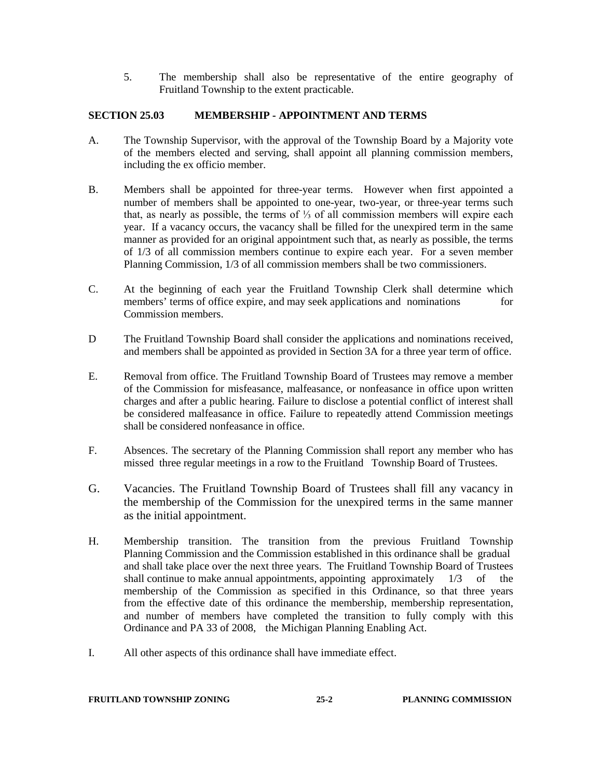5. The membership shall also be representative of the entire geography of Fruitland Township to the extent practicable.

# **SECTION 25.03 MEMBERSHIP - APPOINTMENT AND TERMS**

- A. The Township Supervisor, with the approval of the Township Board by a Majority vote of the members elected and serving, shall appoint all planning commission members, including the ex officio member.
- B. Members shall be appointed for three-year terms. However when first appointed a number of members shall be appointed to one-year, two-year, or three-year terms such that, as nearly as possible, the terms of  $\frac{1}{3}$  of all commission members will expire each year. If a vacancy occurs, the vacancy shall be filled for the unexpired term in the same manner as provided for an original appointment such that, as nearly as possible, the terms of 1/3 of all commission members continue to expire each year. For a seven member Planning Commission, 1/3 of all commission members shall be two commissioners.
- C. At the beginning of each year the Fruitland Township Clerk shall determine which members' terms of office expire, and may seek applications and nominations for Commission members.
- D The Fruitland Township Board shall consider the applications and nominations received, and members shall be appointed as provided in Section 3A for a three year term of office.
- E. Removal from office. The Fruitland Township Board of Trustees may remove a member of the Commission for misfeasance, malfeasance, or nonfeasance in office upon written charges and after a public hearing. Failure to disclose a potential conflict of interest shall be considered malfeasance in office. Failure to repeatedly attend Commission meetings shall be considered nonfeasance in office.
- F. Absences. The secretary of the Planning Commission shall report any member who has missed three regular meetings in a row to the Fruitland Township Board of Trustees.
- G. Vacancies. The Fruitland Township Board of Trustees shall fill any vacancy in the membership of the Commission for the unexpired terms in the same manner as the initial appointment.
- H. Membership transition. The transition from the previous Fruitland Township Planning Commission and the Commission established in this ordinance shall be gradual and shall take place over the next three years. The Fruitland Township Board of Trustees shall continue to make annual appointments, appointing approximately  $1/3$  of the membership of the Commission as specified in this Ordinance, so that three years from the effective date of this ordinance the membership, membership representation, and number of members have completed the transition to fully comply with this Ordinance and PA 33 of 2008, the Michigan Planning Enabling Act.
- I. All other aspects of this ordinance shall have immediate effect.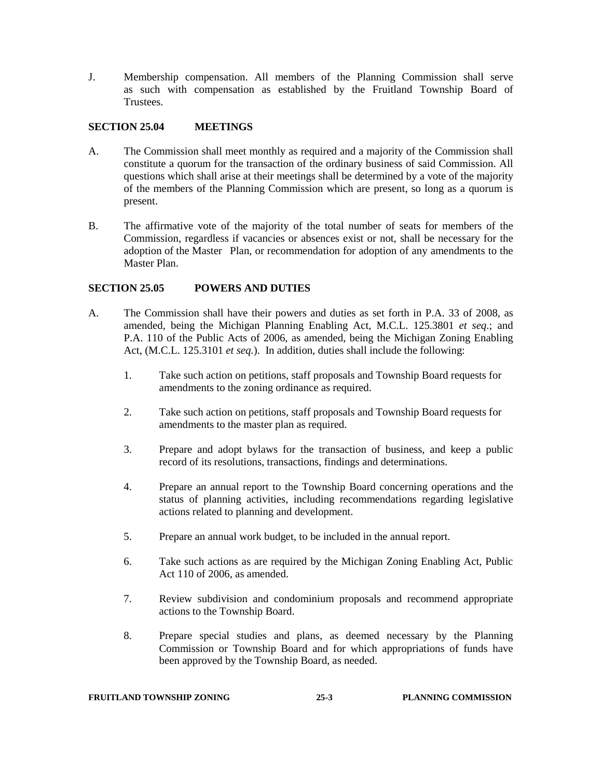J. Membership compensation. All members of the Planning Commission shall serve as such with compensation as established by the Fruitland Township Board of Trustees.

# **SECTION 25.04 MEETINGS**

- A. The Commission shall meet monthly as required and a majority of the Commission shall constitute a quorum for the transaction of the ordinary business of said Commission. All questions which shall arise at their meetings shall be determined by a vote of the majority of the members of the Planning Commission which are present, so long as a quorum is present.
- B. The affirmative vote of the majority of the total number of seats for members of the Commission, regardless if vacancies or absences exist or not, shall be necessary for the adoption of the Master Plan, or recommendation for adoption of any amendments to the Master Plan.

# **SECTION 25.05 POWERS AND DUTIES**

- A. The Commission shall have their powers and duties as set forth in P.A. 33 of 2008, as amended, being the Michigan Planning Enabling Act, M.C.L. 125.3801 *et seq*.; and P.A. 110 of the Public Acts of 2006, as amended, being the Michigan Zoning Enabling Act, (M.C.L. 125.3101 *et seq.*). In addition, duties shall include the following:
	- 1. Take such action on petitions, staff proposals and Township Board requests for amendments to the zoning ordinance as required.
	- 2. Take such action on petitions, staff proposals and Township Board requests for amendments to the master plan as required.
	- 3. Prepare and adopt bylaws for the transaction of business, and keep a public record of its resolutions, transactions, findings and determinations.
	- 4. Prepare an annual report to the Township Board concerning operations and the status of planning activities, including recommendations regarding legislative actions related to planning and development.
	- 5. Prepare an annual work budget, to be included in the annual report.
	- 6. Take such actions as are required by the Michigan Zoning Enabling Act, Public Act 110 of 2006, as amended.
	- 7. Review subdivision and condominium proposals and recommend appropriate actions to the Township Board.
	- 8. Prepare special studies and plans, as deemed necessary by the Planning Commission or Township Board and for which appropriations of funds have been approved by the Township Board, as needed.

# **FRUITLAND TOWNSHIP ZONING 25-3 PLANNING COMMISSION**